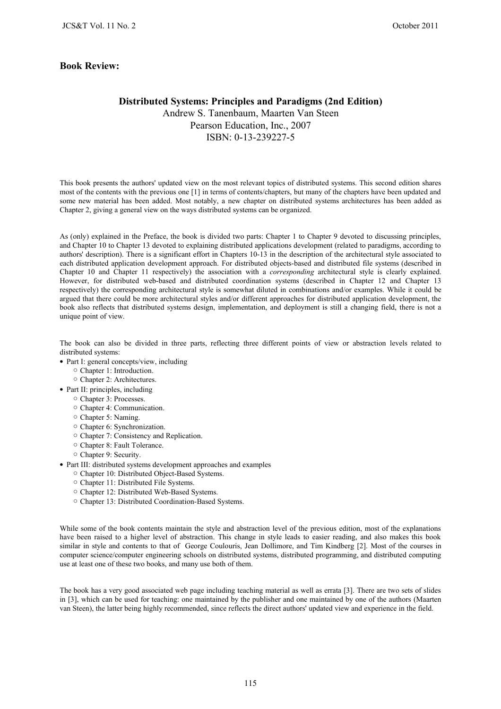## **Book Review:**

## **Distributed Systems: Principles and Paradigms (2nd Edition)**

Andrew S. Tanenbaum, Maarten Van Steen Pearson Education, Inc., 2007 ISBN: 0-13-239227-5

This book presents the authors' updated view on the most relevant topics of distributed systems. This second edition shares most of the contents with the previous one [1] in terms of contents/chapters, but many of the chapters have been updated and some new material has been added. Most notably, a new chapter on distributed systems architectures has been added as Chapter 2, giving a general view on the ways distributed systems can be organized.

As (only) explained in the Preface, the book is divided two parts: Chapter 1 to Chapter 9 devoted to discussing principles, and Chapter 10 to Chapter 13 devoted to explaining distributed applications development (related to paradigms, according to authors' description). There is a significant effort in Chapters 10-13 in the description of the architectural style associated to each distributed application development approach. For distributed objects-based and distributed file systems (described in Chapter 10 and Chapter 11 respectively) the association with a *corresponding* architectural style is clearly explained. However, for distributed web-based and distributed coordination systems (described in Chapter 12 and Chapter 13 respectively) the corresponding architectural style is somewhat diluted in combinations and/or examples. While it could be argued that there could be more architectural styles and/or different approaches for distributed application development, the book also reflects that distributed systems design, implementation, and deployment is still a changing field, there is not a unique point of view.

The book can also be divided in three parts, reflecting three different points of view or abstraction levels related to distributed systems:

- Part I: general concepts/view, including
	- Chapter 1: Introduction.
	- Chapter 2: Architectures.
- Part II: principles, including
	- Chapter 3: Processes.
	- Chapter 4: Communication.
	- Chapter 5: Naming.
	- Chapter 6: Synchronization.
	- Chapter 7: Consistency and Replication.
	- Chapter 8: Fault Tolerance.
	- Chapter 9: Security.
- Part III: distributed systems development approaches and examples
	- Chapter 10: Distributed Object-Based Systems.
	- Chapter 11: Distributed File Systems.
	- Chapter 12: Distributed Web-Based Systems.
	- Chapter 13: Distributed Coordination-Based Systems.

While some of the book contents maintain the style and abstraction level of the previous edition, most of the explanations have been raised to a higher level of abstraction. This change in style leads to easier reading, and also makes this book similar in style and contents to that of George Coulouris, Jean Dollimore, and Tim Kindberg [2]. Most of the courses in computer science/computer engineering schools on distributed systems, distributed programming, and distributed computing use at least one of these two books, and many use both of them.

The book has a very good associated web page including teaching material as well as errata [3]. There are two sets of slides in [3], which can be used for teaching: one maintained by the publisher and one maintained by one of the authors (Maarten van Steen), the latter being highly recommended, since reflects the direct authors' updated view and experience in the field.